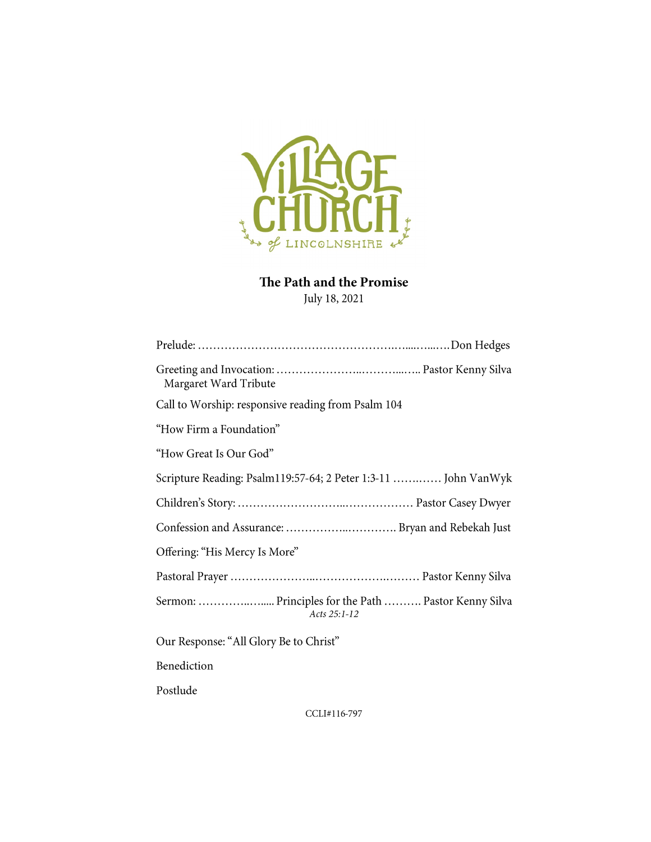

The Path and the Promise July 18, 2021

| Margaret Ward Tribute                                          |
|----------------------------------------------------------------|
| Call to Worship: responsive reading from Psalm 104             |
| "How Firm a Foundation"                                        |
| "How Great Is Our God"                                         |
| Scripture Reading: Psalm119:57-64; 2 Peter 1:3-11  John VanWyk |
|                                                                |
| Confession and Assurance:  Bryan and Rebekah Just              |
| Offering: "His Mercy Is More"                                  |
|                                                                |
| Acts 25:1-12                                                   |
| Our Response: "All Glory Be to Christ"                         |
| Benediction                                                    |
| Postlude                                                       |

CCLI#116-797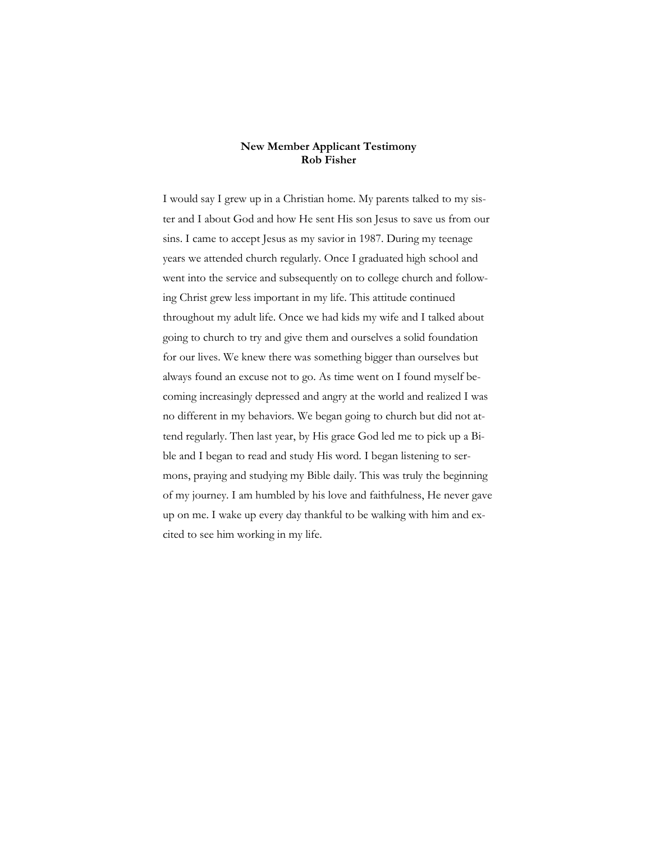#### **New Member Applicant Testimony Rob Fisher**

I would say I grew up in a Christian home. My parents talked to my sister and I about God and how He sent His son Jesus to save us from our sins. I came to accept Jesus as my savior in 1987. During my teenage years we attended church regularly. Once I graduated high school and went into the service and subsequently on to college church and following Christ grew less important in my life. This attitude continued throughout my adult life. Once we had kids my wife and I talked about going to church to try and give them and ourselves a solid foundation for our lives. We knew there was something bigger than ourselves but always found an excuse not to go. As time went on I found myself becoming increasingly depressed and angry at the world and realized I was no different in my behaviors. We began going to church but did not attend regularly. Then last year, by His grace God led me to pick up a Bible and I began to read and study His word. I began listening to sermons, praying and studying my Bible daily. This was truly the beginning of my journey. I am humbled by his love and faithfulness, He never gave up on me. I wake up every day thankful to be walking with him and excited to see him working in my life.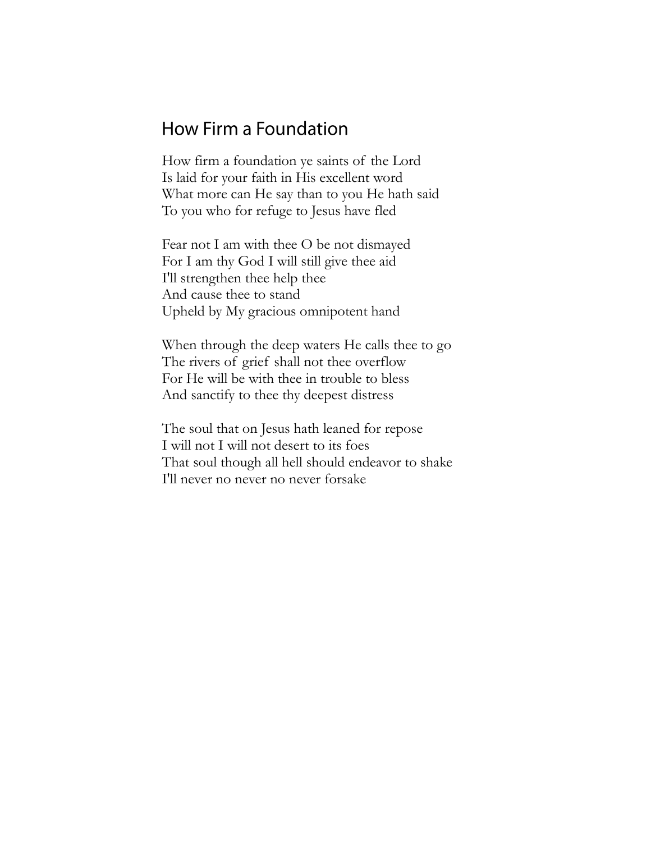# **How Firm a Foundation**

How firm a foundation ye saints of the Lord Is laid for your faith in His excellent word What more can He say than to you He hath said To you who for refuge to Jesus have fled

Fear not I am with thee O be not dismayed For I am thy God I will still give thee aid I'll strengthen thee help thee And cause thee to stand Upheld by My gracious omnipotent hand

When through the deep waters He calls thee to go The rivers of grief shall not thee overflow For He will be with thee in trouble to bless And sanctify to thee thy deepest distress

The soul that on Jesus hath leaned for repose I will not I will not desert to its foes That soul though all hell should endeavor to shake I'll never no never no never forsake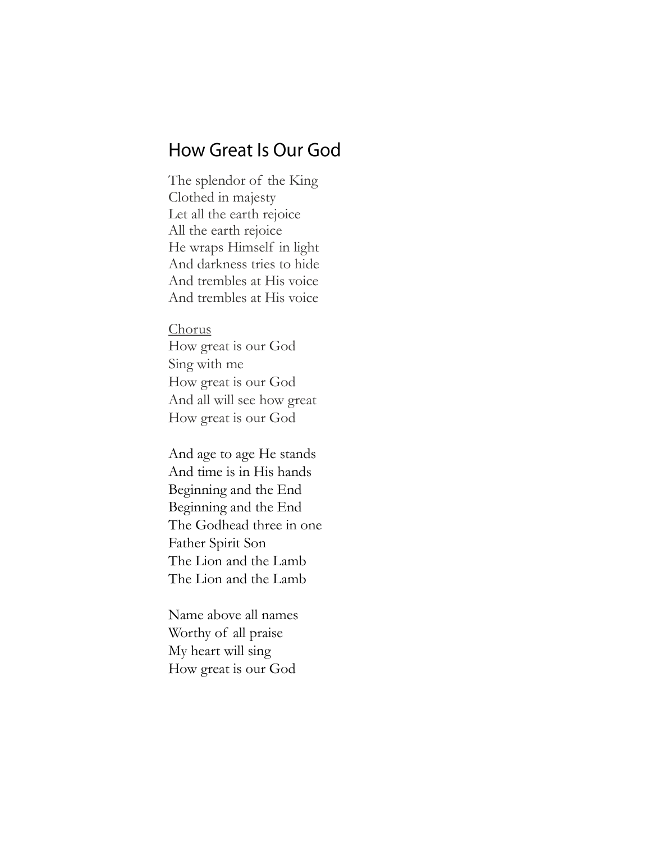## How Great Is Our God

The splendor of the King Clothed in majesty Let all the earth rejoice All the earth rejoice He wraps Himself in light And darkness tries to hide And trembles at His voice And trembles at His voice

Chorus How great is our God Sing with me How great is our God And all will see how great How great is our God

And age to age He stands And time is in His hands Beginning and the End Beginning and the End The Godhead three in one Father Spirit Son The Lion and the Lamb The Lion and the Lamb

Name above all names Worthy of all praise My heart will sing How great is our God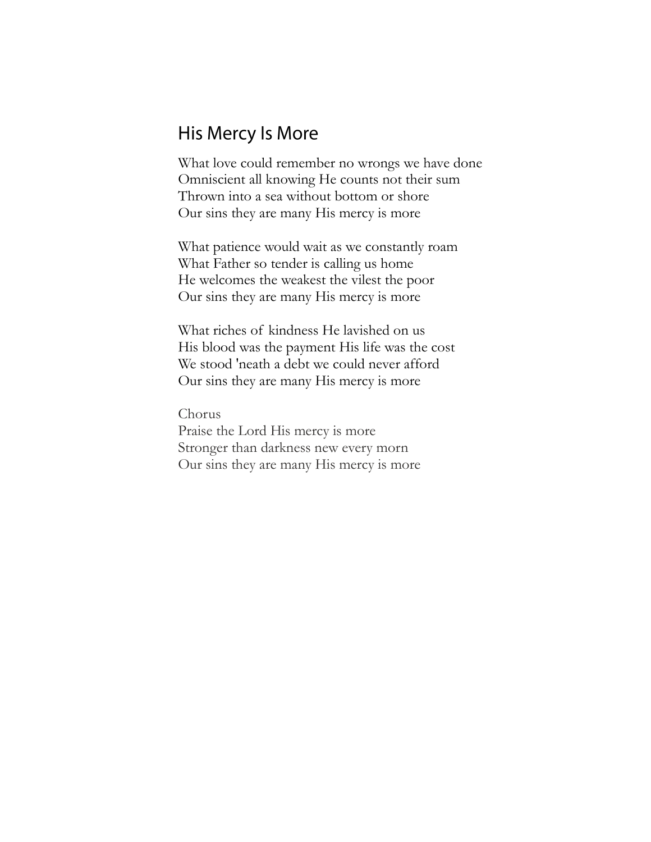#### His Mercy Is More

What love could remember no wrongs we have done Omniscient all knowing He counts not their sum Thrown into a sea without bottom or shore Our sins they are many His mercy is more

What patience would wait as we constantly roam What Father so tender is calling us home He welcomes the weakest the vilest the poor Our sins they are many His mercy is more

What riches of kindness He lavished on us His blood was the payment His life was the cost We stood 'neath a debt we could never afford Our sins they are many His mercy is more

Chorus

Praise the Lord His mercy is more Stronger than darkness new every morn Our sins they are many His mercy is more